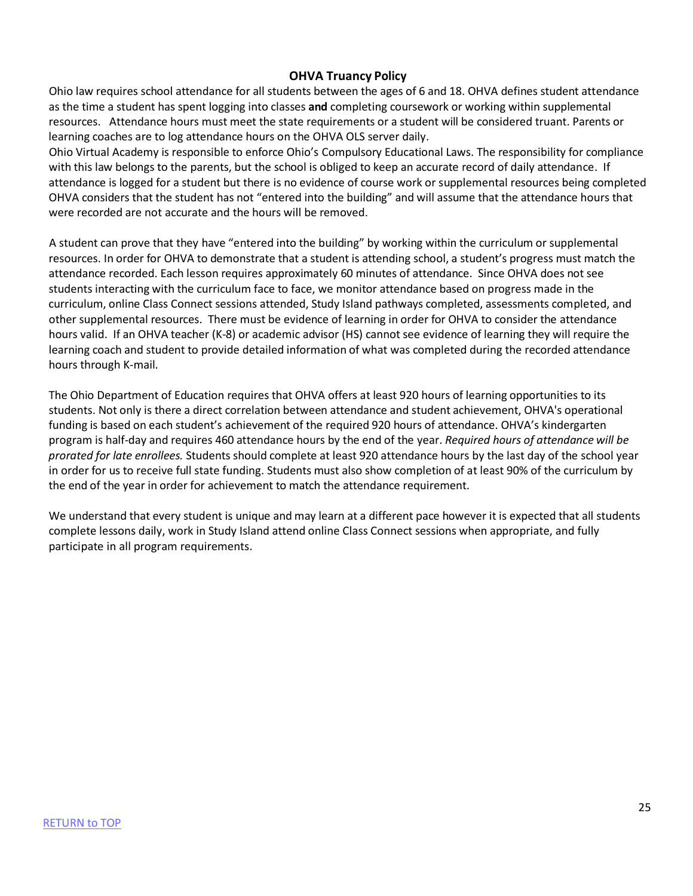### **OHVA Truancy Policy**

Ohio law requires school attendance for all students between the ages of 6 and 18. OHVA defines student attendance as the time a student has spent logging into classes **and** completing coursework or working within supplemental resources. Attendance hours must meet the state requirements or a student will be considered truant. Parents or learning coaches are to log attendance hours on the OHVA OLS server daily.

Ohio Virtual Academy is responsible to enforce Ohio's Compulsory Educational Laws. The responsibility for compliance with this law belongs to the parents, but the school is obliged to keep an accurate record of daily attendance. If attendance is logged for a student but there is no evidence of course work or supplemental resources being completed OHVA considers that the student has not "entered into the building" and will assume that the attendance hours that were recorded are not accurate and the hours will be removed.

A student can prove that they have "entered into the building" by working within the curriculum or supplemental resources. In order for OHVA to demonstrate that a student is attending school, a student's progress must match the attendance recorded. Each lesson requires approximately 60 minutes of attendance. Since OHVA does not see students interacting with the curriculum face to face, we monitor attendance based on progress made in the curriculum, online Class Connect sessions attended, Study Island pathways completed, assessments completed, and other supplemental resources. There must be evidence of learning in order for OHVA to consider the attendance hours valid. If an OHVA teacher (K-8) or academic advisor (HS) cannot see evidence of learning they will require the learning coach and student to provide detailed information of what was completed during the recorded attendance hours through K-mail.

The Ohio Department of Education requires that OHVA offers at least 920 hours of learning opportunities to its students. Not only is there a direct correlation between attendance and student achievement, OHVA's operational funding is based on each student's achievement of the required 920 hours of attendance. OHVA's kindergarten program is half-day and requires 460 attendance hours by the end of the year. *Required hours of attendance will be prorated for late enrollees.* Students should complete at least 920 attendance hours by the last day of the school year in order for us to receive full state funding. Students must also show completion of at least 90% of the curriculum by the end of the year in order for achievement to match the attendance requirement.

We understand that every student is unique and may learn at a different pace however it is expected that all students complete lessons daily, work in Study Island attend online Class Connect sessions when appropriate, and fully participate in all program requirements.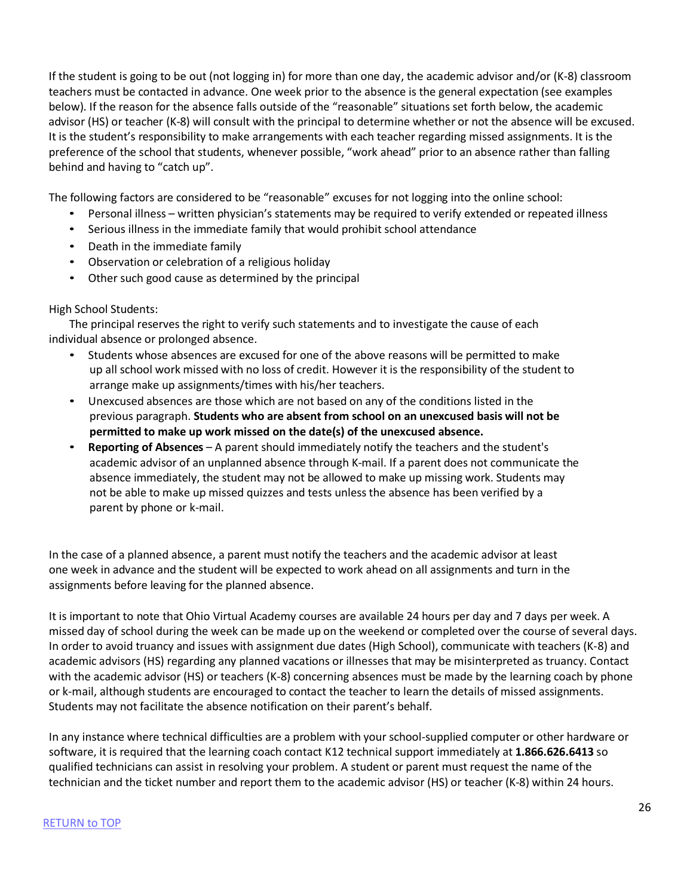If the student is going to be out (not logging in) for more than one day, the academic advisor and/or (K-8) classroom teachers must be contacted in advance. One week prior to the absence is the general expectation (see examples below). If the reason for the absence falls outside of the "reasonable" situations set forth below, the academic advisor (HS) or teacher (K-8) will consult with the principal to determine whether or not the absence will be excused. It is the student's responsibility to make arrangements with each teacher regarding missed assignments. It is the preference of the school that students, whenever possible, "work ahead" prior to an absence rather than falling behind and having to "catch up".

The following factors are considered to be "reasonable" excuses for not logging into the online school:

- Personal illness written physician's statements may be required to verify extended or repeated illness
- Serious illness in the immediate family that would prohibit school attendance
- Death in the immediate family
- Observation or celebration of a religious holiday
- Other such good cause as determined by the principal

#### High School Students:

The principal reserves the right to verify such statements and to investigate the cause of each individual absence or prolonged absence.

- Students whose absences are excused for one of the above reasons will be permitted to make up all school work missed with no loss of credit. However it is the responsibility of the student to arrange make up assignments/times with his/her teachers.
- Unexcused absences are those which are not based on any of the conditions listed in the previous paragraph. **Students who are absent from school on an unexcused basis will not be permitted to make up work missed on the date(s) of the unexcused absence.**
- **Reporting of Absences** A parent should immediately notify the teachers and the student's academic advisor of an unplanned absence through K-mail. If a parent does not communicate the absence immediately, the student may not be allowed to make up missing work. Students may not be able to make up missed quizzes and tests unless the absence has been verified by a parent by phone or k-mail.

In the case of a planned absence, a parent must notify the teachers and the academic advisor at least one week in advance and the student will be expected to work ahead on all assignments and turn in the assignments before leaving for the planned absence.

It is important to note that Ohio Virtual Academy courses are available 24 hours per day and 7 days per week. A missed day of school during the week can be made up on the weekend or completed over the course of several days. In order to avoid truancy and issues with assignment due dates (High School), communicate with teachers (K-8) and academic advisors (HS) regarding any planned vacations or illnesses that may be misinterpreted as truancy. Contact with the academic advisor (HS) or teachers (K-8) concerning absences must be made by the learning coach by phone or k-mail, although students are encouraged to contact the teacher to learn the details of missed assignments. Students may not facilitate the absence notification on their parent's behalf.

In any instance where technical difficulties are a problem with your school-supplied computer or other hardware or software, it is required that the learning coach contact K12 technical support immediately at **1.866.626.6413** so qualified technicians can assist in resolving your problem. A student or parent must request the name of the technician and the ticket number and report them to the academic advisor (HS) or teacher (K-8) within 24 hours.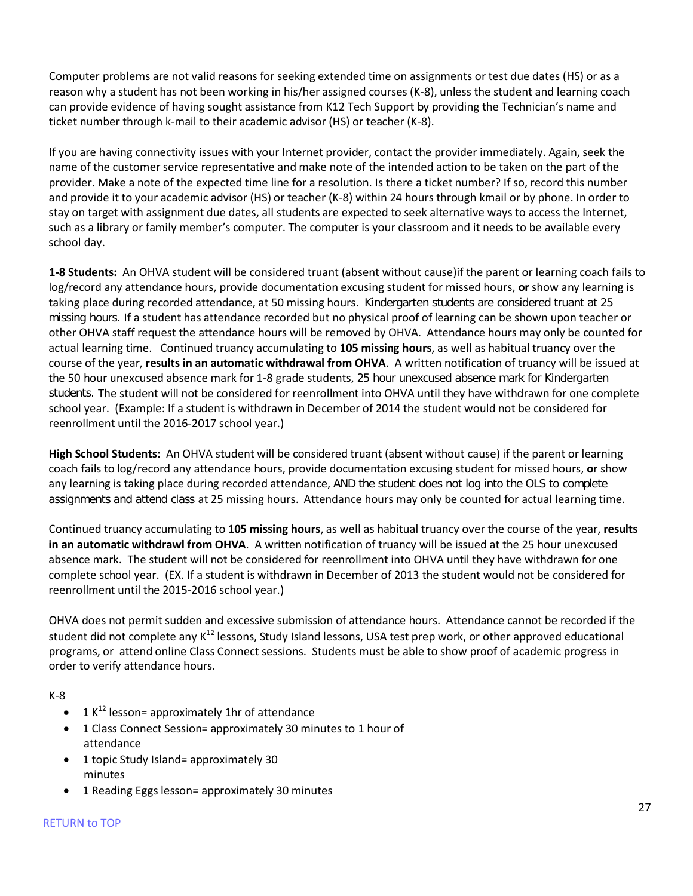Computer problems are not valid reasons for seeking extended time on assignments or test due dates (HS) or as a reason why a student has not been working in his/her assigned courses (K-8), unless the student and learning coach can provide evidence of having sought assistance from K12 Tech Support by providing the Technician's name and ticket number through k-mail to their academic advisor (HS) or teacher (K-8).

If you are having connectivity issues with your Internet provider, contact the provider immediately. Again, seek the name of the customer service representative and make note of the intended action to be taken on the part of the provider. Make a note of the expected time line for a resolution. Is there a ticket number? If so, record this number and provide it to your academic advisor (HS) or teacher (K-8) within 24 hours through kmail or by phone. In order to stay on target with assignment due dates, all students are expected to seek alternative ways to access the Internet, such as a library or family member's computer. The computer is your classroom and it needs to be available every school day.

**1-8 Students:** An OHVA student will be considered truant (absent without cause)if the parent or learning coach fails to log/record any attendance hours, provide documentation excusing student for missed hours, **or** show any learning is taking place during recorded attendance, at 50 missing hours. Kindergarten students are considered truant at 25 missing hours. If a student has attendance recorded but no physical proof of learning can be shown upon teacher or other OHVA staff request the attendance hours will be removed by OHVA. Attendance hours may only be counted for actual learning time. Continued truancy accumulating to **105 missing hours**, as well as habitual truancy over the course of the year, **results in an automatic withdrawal from OHVA**. A written notification of truancy will be issued at the 50 hour unexcused absence mark for 1-8 grade students, 25 hour unexcused absence mark for Kindergarten students. The student will not be considered for reenrollment into OHVA until they have withdrawn for one complete school year. (Example: If a student is withdrawn in December of 2014 the student would not be considered for reenrollment until the 2016-2017 school year.)

**High School Students:** An OHVA student will be considered truant (absent without cause) if the parent or learning coach fails to log/record any attendance hours, provide documentation excusing student for missed hours, **or** show any learning is taking place during recorded attendance, AND the student does not log into the OLS to complete assignments and attend class at 25 missing hours. Attendance hours may only be counted for actual learning time.

Continued truancy accumulating to **105 missing hours**, as well as habitual truancy over the course of the year, **results in an automatic withdrawl from OHVA**. A written notification of truancy will be issued at the 25 hour unexcused absence mark. The student will not be considered for reenrollment into OHVA until they have withdrawn for one complete school year. (EX. If a student is withdrawn in December of 2013 the student would not be considered for reenrollment until the 2015-2016 school year.)

OHVA does not permit sudden and excessive submission of attendance hours. Attendance cannot be recorded if the student did not complete any K<sup>12</sup> lessons, Study Island lessons, USA test prep work, or other approved educational programs, or attend online Class Connect sessions. Students must be able to show proof of academic progress in order to verify attendance hours.

K-8

- 1  $K^{12}$  lesson= approximately 1hr of attendance
- 1 Class Connect Session= approximately 30 minutes to 1 hour of attendance
- 1 topic Study Island= approximately 30 minutes
- 1 Reading Eggs lesson= approximately 30 minutes

#### RETURN to TOP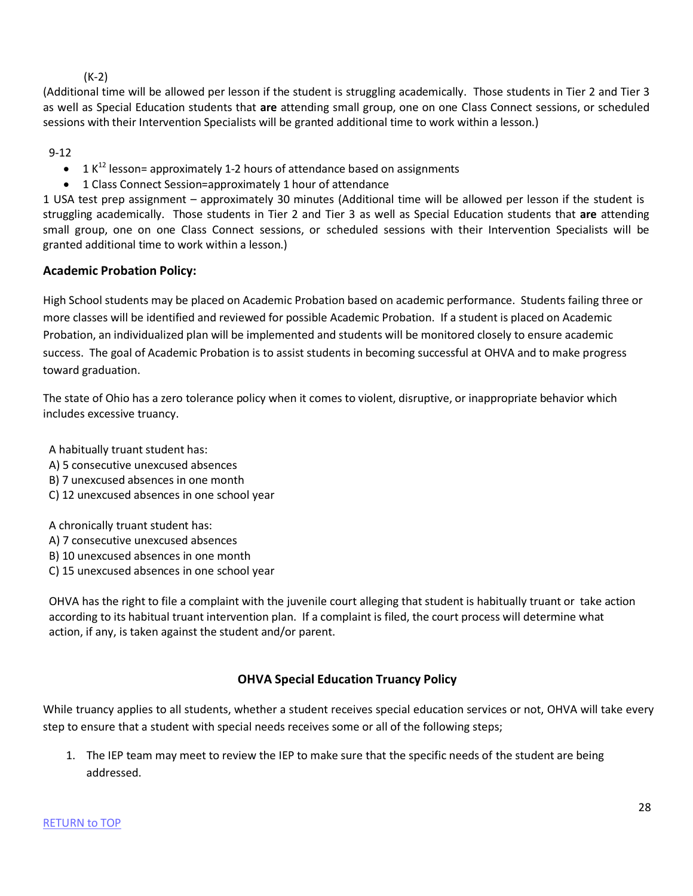### (K-2)

(Additional time will be allowed per lesson if the student is struggling academically. Those students in Tier 2 and Tier 3 as well as Special Education students that **are** attending small group, one on one Class Connect sessions, or scheduled sessions with their Intervention Specialists will be granted additional time to work within a lesson.)

9-12

- $1 K<sup>12</sup>$  lesson= approximately 1-2 hours of attendance based on assignments
- 1 Class Connect Session=approximately 1 hour of attendance

1 USA test prep assignment – approximately 30 minutes (Additional time will be allowed per lesson if the student is struggling academically. Those students in Tier 2 and Tier 3 as well as Special Education students that **are** attending small group, one on one Class Connect sessions, or scheduled sessions with their Intervention Specialists will be granted additional time to work within a lesson.)

## **Academic Probation Policy:**

High School students may be placed on Academic Probation based on academic performance. Students failing three or more classes will be identified and reviewed for possible Academic Probation. If a student is placed on Academic Probation, an individualized plan will be implemented and students will be monitored closely to ensure academic success. The goal of Academic Probation is to assist students in becoming successful at OHVA and to make progress toward graduation.

The state of Ohio has a zero tolerance policy when it comes to violent, disruptive, or inappropriate behavior which includes excessive truancy.

A habitually truant student has:

- A) 5 consecutive unexcused absences
- B) 7 unexcused absences in one month
- C) 12 unexcused absences in one school year

A chronically truant student has:

- A) 7 consecutive unexcused absences
- B) 10 unexcused absences in one month
- C) 15 unexcused absences in one school year

OHVA has the right to file a complaint with the juvenile court alleging that student is habitually truant or take action according to its habitual truant intervention plan. If a complaint is filed, the court process will determine what action, if any, is taken against the student and/or parent.

# **OHVA Special Education Truancy Policy**

While truancy applies to all students, whether a student receives special education services or not, OHVA will take every step to ensure that a student with special needs receives some or all of the following steps;

1. The IEP team may meet to review the IEP to make sure that the specific needs of the student are being addressed.